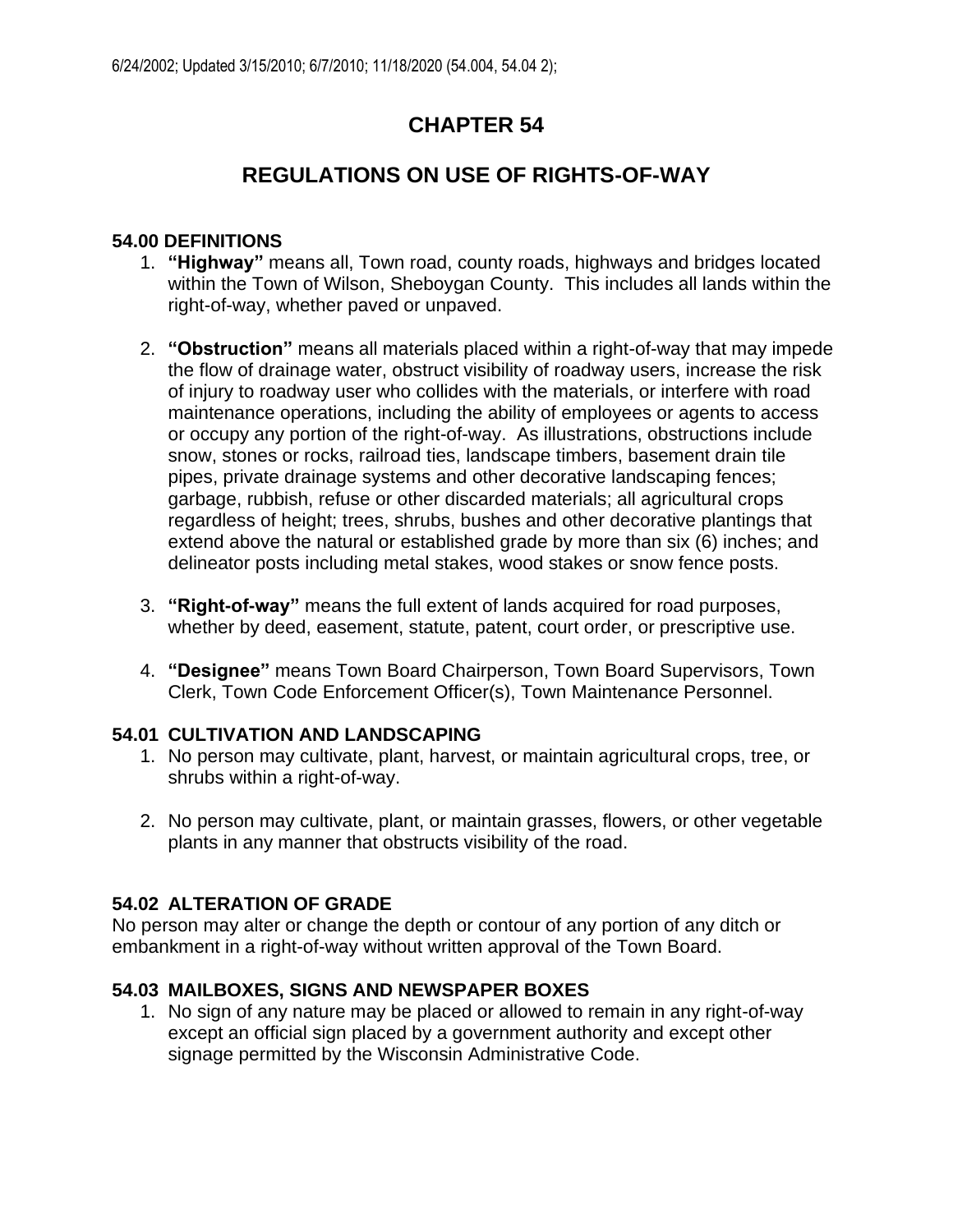## **CHAPTER 54**

# **REGULATIONS ON USE OF RIGHTS-OF-WAY**

#### **54.00 DEFINITIONS**

- 1. **"Highway"** means all, Town road, county roads, highways and bridges located within the Town of Wilson, Sheboygan County. This includes all lands within the right-of-way, whether paved or unpaved.
- 2. **"Obstruction"** means all materials placed within a right-of-way that may impede the flow of drainage water, obstruct visibility of roadway users, increase the risk of injury to roadway user who collides with the materials, or interfere with road maintenance operations, including the ability of employees or agents to access or occupy any portion of the right-of-way. As illustrations, obstructions include snow, stones or rocks, railroad ties, landscape timbers, basement drain tile pipes, private drainage systems and other decorative landscaping fences; garbage, rubbish, refuse or other discarded materials; all agricultural crops regardless of height; trees, shrubs, bushes and other decorative plantings that extend above the natural or established grade by more than six (6) inches; and delineator posts including metal stakes, wood stakes or snow fence posts.
- 3. **"Right-of-way"** means the full extent of lands acquired for road purposes, whether by deed, easement, statute, patent, court order, or prescriptive use.
- 4. **"Designee"** means Town Board Chairperson, Town Board Supervisors, Town Clerk, Town Code Enforcement Officer(s), Town Maintenance Personnel.

### **54.01 CULTIVATION AND LANDSCAPING**

- 1. No person may cultivate, plant, harvest, or maintain agricultural crops, tree, or shrubs within a right-of-way.
- 2. No person may cultivate, plant, or maintain grasses, flowers, or other vegetable plants in any manner that obstructs visibility of the road.

### **54.02 ALTERATION OF GRADE**

No person may alter or change the depth or contour of any portion of any ditch or embankment in a right-of-way without written approval of the Town Board.

### **54.03 MAILBOXES, SIGNS AND NEWSPAPER BOXES**

1. No sign of any nature may be placed or allowed to remain in any right-of-way except an official sign placed by a government authority and except other signage permitted by the Wisconsin Administrative Code.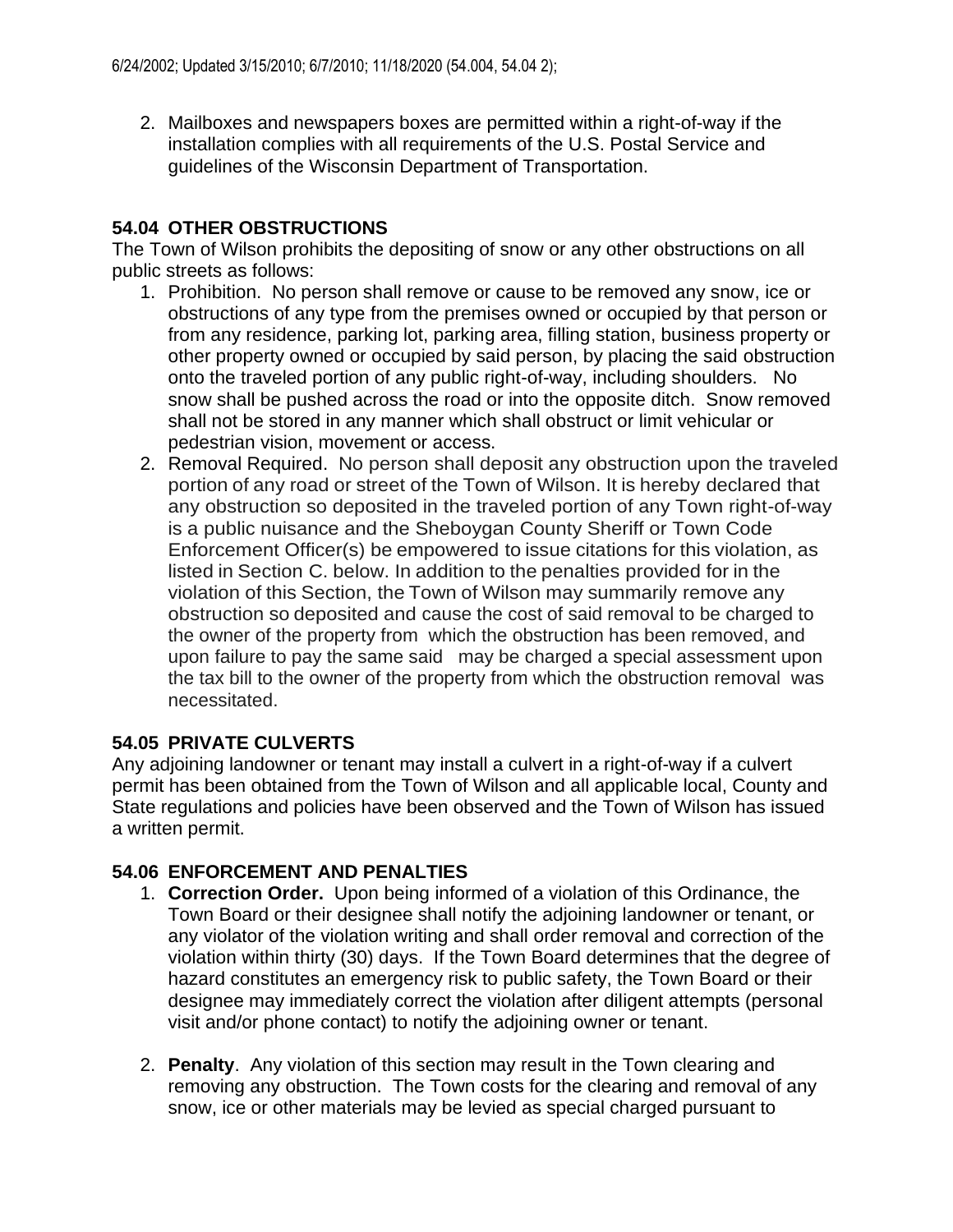2. Mailboxes and newspapers boxes are permitted within a right-of-way if the installation complies with all requirements of the U.S. Postal Service and guidelines of the Wisconsin Department of Transportation.

### **54.04 OTHER OBSTRUCTIONS**

The Town of Wilson prohibits the depositing of snow or any other obstructions on all public streets as follows:

- 1. Prohibition. No person shall remove or cause to be removed any snow, ice or obstructions of any type from the premises owned or occupied by that person or from any residence, parking lot, parking area, filling station, business property or other property owned or occupied by said person, by placing the said obstruction onto the traveled portion of any public right-of-way, including shoulders. No snow shall be pushed across the road or into the opposite ditch. Snow removed shall not be stored in any manner which shall obstruct or limit vehicular or pedestrian vision, movement or access.
- 2. Removal Required. No person shall deposit any obstruction upon the traveled portion of any road or street of the Town of Wilson. It is hereby declared that any obstruction so deposited in the traveled portion of any Town right-of-way is a public nuisance and the Sheboygan County Sheriff or Town Code Enforcement Officer(s) be empowered to issue citations for this violation, as listed in Section C. below. In addition to the penalties provided for in the violation of this Section, the Town of Wilson may summarily remove any obstruction so deposited and cause the cost of said removal to be charged to the owner of the property from which the obstruction has been removed, and upon failure to pay the same said may be charged a special assessment upon the tax bill to the owner of the property from which the obstruction removal was necessitated.

## **54.05 PRIVATE CULVERTS**

Any adjoining landowner or tenant may install a culvert in a right-of-way if a culvert permit has been obtained from the Town of Wilson and all applicable local, County and State regulations and policies have been observed and the Town of Wilson has issued a written permit.

### **54.06 ENFORCEMENT AND PENALTIES**

- 1. **Correction Order.** Upon being informed of a violation of this Ordinance, the Town Board or their designee shall notify the adjoining landowner or tenant, or any violator of the violation writing and shall order removal and correction of the violation within thirty (30) days. If the Town Board determines that the degree of hazard constitutes an emergency risk to public safety, the Town Board or their designee may immediately correct the violation after diligent attempts (personal visit and/or phone contact) to notify the adjoining owner or tenant.
- 2. **Penalty**. Any violation of this section may result in the Town clearing and removing any obstruction. The Town costs for the clearing and removal of any snow, ice or other materials may be levied as special charged pursuant to